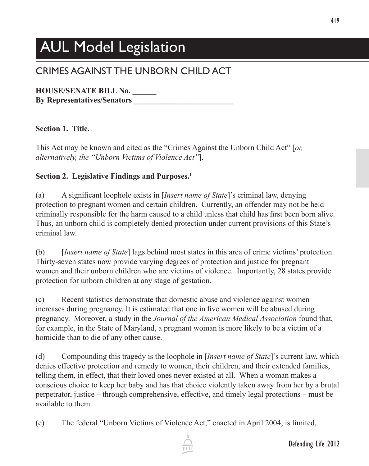# AUL Model Legislation

# CRIMES AGAINST THE UNBORN CHILD ACT

**HOUSE/SENATE BILL No. \_\_\_\_\_\_ By Representatives/Senators \_\_\_\_\_\_\_\_\_\_\_\_\_\_\_\_\_\_\_\_\_\_\_\_\_**

#### **Section 1. Title.**

This Act may be known and cited as the "Crimes Against the Unborn Child Act" [*or, alternatively, the "Unborn Victims of Violence Act"*].

#### **Section 2. Legislative Findings and Purposes.1**

(a) A significant loophole exists in [*Insert name of State*]'s criminal law, denying protection to pregnant women and certain children. Currently, an offender may not be held criminally responsible for the harm caused to a child unless that child has first been born alive. Thus, an unborn child is completely denied protection under current provisions of this State's criminal law.

(b) [*Insert name of State*] lags behind most states in this area of crime victims' protection. Thirty-seven states now provide varying degrees of protection and justice for pregnant women and their unborn children who are victims of violence. Importantly, 28 states provide protection for unborn children at any stage of gestation.

(c) Recent statistics demonstrate that domestic abuse and violence against women increases during pregnancy. It is estimated that one in five women will be abused during pregnancy. Moreover, a study in the *Journal of the American Medical Association* found that, for example, in the State of Maryland, a pregnant woman is more likely to be a victim of a homicide than to die of any other cause.

(d) Compounding this tragedy is the loophole in [*Insert name of State*]'s current law, which denies effective protection and remedy to women, their children, and their extended families, telling them, in effect, that their loved ones never existed at all. When a woman makes a conscious choice to keep her baby and has that choice violently taken away from her by a brutal perpetrator, justice – through comprehensive, effective, and timely legal protections – must be available to them.

(e) The federal "Unborn Victims of Violence Act," enacted in April 2004, is limited,

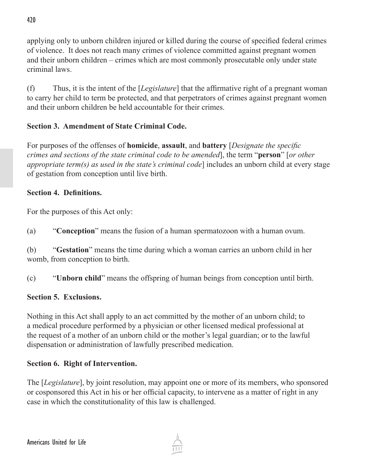applying only to unborn children injured or killed during the course of specified federal crimes of violence. It does not reach many crimes of violence committed against pregnant women and their unborn children – crimes which are most commonly prosecutable only under state criminal laws.

(f) Thus, it is the intent of the [*Legislature*] that the affirmative right of a pregnant woman to carry her child to term be protected, and that perpetrators of crimes against pregnant women and their unborn children be held accountable for their crimes.

### **Section 3. Amendment of State Criminal Code.**

For purposes of the offenses of **homicide**, **assault**, and **battery** [*Designate the specific crimes and sections of the state criminal code to be amended*], the term "**person**" [*or other appropriate term(s) as used in the state's criminal code*] includes an unborn child at every stage of gestation from conception until live birth.

#### **Section 4. Definitions.**

For the purposes of this Act only:

(a) "**Conception**" means the fusion of a human spermatozoon with a human ovum.

(b) "**Gestation**" means the time during which a woman carries an unborn child in her womb, from conception to birth.

(c) "**Unborn child**" means the offspring of human beings from conception until birth.

#### **Section 5. Exclusions.**

Nothing in this Act shall apply to an act committed by the mother of an unborn child; to a medical procedure performed by a physician or other licensed medical professional at the request of a mother of an unborn child or the mother's legal guardian; or to the lawful dispensation or administration of lawfully prescribed medication.

## **Section 6. Right of Intervention.**

The [*Legislature*], by joint resolution, may appoint one or more of its members, who sponsored or cosponsored this Act in his or her official capacity, to intervene as a matter of right in any case in which the constitutionality of this law is challenged.